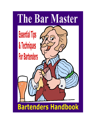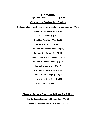# **Contents**

**Legal Disclaimer (Pg 24)**

## **Chapter 1 - Bartending Basics**

**Basic supplies you will need for a professionally equipped bar (Pg 3)**

**Standard Bar Measures (Pg 4)**

**Glass Ware (Pg 5)**

**Stocking Your Bar (Pgs 6 & 7)**

**Bar Hints & Tips (Pgs 8 - 10)**

**Density Chart For Liqueurs (Pg 11)**

**Common Bar Terms (Pgs 12-14)**

**How to Chill Cocktail Glasses (Pg 15)**

**How to Cut Lemon Twists (Pg 16)**

**How to Flame a drink (Pg 17)**

**How to Layer a Cocktail (Pg 18)**

**A recipe for simple syrup (Pg 19)**

**How to Make Sour Mix (Pg 20)**

**How to Muddle a Drink (Pg 21)**

## **Chapter 2- Your Responsibilities As A Host**

**How to Recognize Signs of Inebriation (Pg 22)**

**Dealing with someone who is drunk (Pg 23)**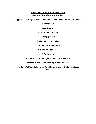## **Basic supplies you will need for a professionally equipped bar.**

**A jigger measure (one with an accurate scale of half and quarter ounces)**

**A bar strainer**

**A corkscrew**

#### **A can or bottle opener**

**A large pitcher**

**A mixing glass or shaker**

#### **A set of measuring spoons**

**A lemon-lime squeezer**

#### **A Paring knife**

**Ice bucket with tongs (vacuum type is preferred)**

**A wooden muddler (for mashing mints, fruits, etc.)**

**A variety of different glassware for different types of drinks (see Glass Ware)**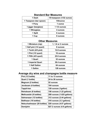| 1 Dash                 | 1/8 teaspoon (1/32 ounce) |
|------------------------|---------------------------|
| 1 Teaspoon (bar spoon) | 1/8/ounce                 |
| 1 Pony                 | 1 ounce                   |
| 1 jigger (barglass)    | 1 1/2 ounces              |
| 1 Wineglass            | 4 ounces                  |
| 1 Split                | 6 ounces                  |
| 1 Cup                  | 8 ounces                  |

## **Standard Bar Measures**

# **Other Measures**

| 1 Miniature (nip)       | 1, 1.6 or 2 ounces |
|-------------------------|--------------------|
| 1 Half pint (1/4 quart) | 8 ounces           |
| 1 Tenth (4/5 pint)      | 12.8 ounces        |
| 1 Pint $(1/2$ quart)    | 16 ounces          |
| 1 Fifth (4/5 quart)     | 25.6 ounces        |
| 1 Quart                 | 32 ounces          |
| 1 Imperial Quart        | 38.4 ounces        |
| 1 Half Gallon           | 64 ounces          |
| 1 Gallon                | 128 ounces         |

# **Average dry wine and champagne bottle measure**

| Pint (1/2 bottle)             | 11 to 13 ounces            |
|-------------------------------|----------------------------|
| Quart (1 bottle)              | 24 to 26 ounces            |
| Magnum (2 bottles)            | 52 ounces                  |
| Jeroboam (4 bottles)          | 104 ounces                 |
| <b>Tappit-hen</b>             | 128 ounces (1gallon)       |
| Rehoboam (6 bottles)          | 156 ounces (1.22 gallons)  |
| Methuselah (8 bottles)        | 208 ounces (1.625 gallons) |
| Salmanazar (12 bottles)       | 312 ounces (2.44 gallons)  |
| <b>Balthazar (16 bottles)</b> | 416 ounces (3.3 gallons)   |
| Nebuchadnezzar (20 bottles)   | 520 ounces (4.07 gallons)  |
| Demijohn                      | 627.2 ounces (4.9 gallons) |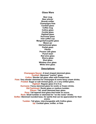**Glass Ware**

**Beer mug Beer pilsner Brandy snifter Champagne flute Cocktail glass Coffee mug Collins glass Cordial glass Highball glass Hurricane glass Irish coffee cup Margarita/Coupette glass Mason jar Old-fashioned glass Parfait glass Pitcher Pousse cafe glass Punch bowl Red wine glass Sherry glass Shot glass Whiskey sour glass White wine glass**

### **Descriptions**

**Champagne Saucer: A bowl shaped stemmed glass. Cocktail: Stemmed "martini" glass. Collins: Slender tall glass often with frosted look. Flute: Very slender stemmed for champagne & some fancy cream drinks. Frosted: Sugar or salt rimmed glass, or a very chilled glass. Highball: Regular glass 6 to 8 oz. Hurricane: Fancy stemmed glass for exotic or frozen drinks. Old Fashioned: Rocks glass or medium tumbler. Pilsner: Tall, small stemmed beer glass. Pony: Tall tapered shot glass that holds an ounce. Rock: Small tumbler or stemmed for "on the rocks" drinks. Snifter: Stemmed rounded base, for spirits that can be appreciated for their aroma. Tumbler: Tall glass, interchangeable with Collins glass. Up: Cocktail glass, snifter, or flute**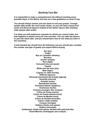## **Stocking Your Bar**

**It is impossible to make a comprehensive list without including every possible liquor in the World, but here are a few guidelines on what to buy.**

**You should always choose your bar stock to suit your guests. Younger people often prefer the more exotic drinks, so you will need various fruit juices and flavored liqueurs instead of the darker liquors (like whiskey) older people often prefer.**

**It is likely you will experience requests for drinks you cannot make, but that happens to almost every bar now and then. You can add new liquors to your bar stock later, and you should learn how to mix what you have in the meantime.**

**A well stocked bar should have the following, but you should also consider the number and type of guests you expect before buying.**

> **Gin (dry) Vodka Rye (or Canadian whiskey) Bourbon Scotch whiskey Rum (light) Vermouth (dry and sweet) Tequila White and red wine (dry) Beer (lager) Cognac (or other brandy) Different liqueurs: Advocaat (somewhat like brandy eggnog) Amaretto (almond) Anisette (anise) Benedictine (herbs) Chambord (black-raspberry) Chartreuse (herbs) Contreau (oranges, like curaçao) Crème de Cacao (cacao) Crème de Cassis (blackcurrant) Crème de Menthe (mint) Crème de Violette (lavender) Crème Yvette (violets) Curaçao (oranges) Galliano (herbs and spices) Godiva (chocolate) Goldwasser (herbs and spices, flecked with gold leaf bits) Grand Marnier (champagne and curaçao)**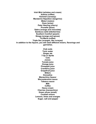**Irish Mint (whiskey and cream) Kahlúa (coffee) Kümmel (caraway) Mandarine Napoléon (tangerine) Midori (melon) Ouzo (anise) Peter Heering (cherry) Prunelle (plum) Sabra (orange and chocolate) Sambuca (wild elderberries) Southern Comfort (peach) Strega (orange and spices) Tia Maria (coffee) Triple Sec (oranges, like curaçao) In addition to the liquors, you will need different mixers, flavorings and garnishes.**

> **Club soda Tonic water Ginger ale 7-Up or Sprite Cola Juices: Tomato juice Orange juice Pineapple juice Cranberry juice Grapefruit juice Bitters Grenadine Maraschino liqueur Worcestershire sauce Tabasco sauce Milk Coffee Heavy cream Cherries (maraschino) Green olives (small) Cocktail onions Lemons, limes and oranges Sugar, salt and pepper**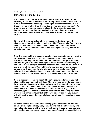"(c) 2001 by PageWise, Inc. Used with permission."

### **Bartending Hints & Tips**

**If you want to be a bartender at home, here's a guide to mixing drinks. Learning to make mixed drinks is not exactly rocket science. However, it is a bit of chemistry and creativity. The thing to remember is there are two types of mixed drinks. Ones that contain alcohol and ones that don't. So whether you are learning to make mixed drinks in order to become a bartender or just learning for entertaining at home there are several relatively easy and affordable ways to go about learning to make mixed drinks.**

**First of all if you want to learn how to make mixed drinks one of the cheaper ways to do it is to buy a recipe booklet. These can be found in any major bookstore or purchased online. These little books offer a wide variety of choices and often include pictures so you can see just how the drink should look.**

**Now if you are looking to become a professional bartender you will want to go to school. Yes that's correct you can go to school to become a bartender. Although it's a lot cheaper than going to a four-year university it still will run you more than buying just a recipe booklet. But the thing to remember is that going to school to become a bartender will also show you some tricks of the trade. So in addition to learning how to make mixed drinks you will also learn how to interact with your customers. Most schools that teach bartending skills also help you to obtain your liqueur license, which will be a requirement by whatever state, you are living in.** 

**Now in addition to learning about different liqueurs and mixers you will also need to learn some other things. First of all as a bartender you need to have the right glasses for whatever drink you will be preparing. A rum and coke is going to come in a much smaller glass than say a margarita. So making sure you have an assortment of different types of glasses is something you will need to familiarize yourself with. Obviously if you are working in a bar or restaurant all of this will be provided for you but you will still need to learn what type of glass you will use for the drink you are making.**

**You also need to make sure you have any garnishes that come with the drink. For example a bloody Mary should come with a stalk of celery or a mint julep might come with a sprig of mint. You will need to have sections of limes, lemons, oranges, pineapple and more. You will also need to have**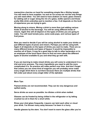**maraschino cherries on hand for something simple like a Shirley temple. You will need to have supplies. Ice and an ice scoop are not the only things you will need either. You will need to have shakers on hand, glass rimmers for adding salt or sugar along the rim of a glass, bottle openers and those pretty little drink umbrellas just to mention a few. It all depends on the level of experience you are trying to gain.**

**Moving along to mixers. Mixing a drink is more than just adding various kinds of alcohol to the beverage. You will be using different kinds of mixers. Again this will all depend on the types of drinks you are going to make. You will need tomato juice, some soda pops, and various types of fruit juices.**

**Now you need to decide if you will be using alcohol to make your drinks or just different types of juices and mixers. Perhaps you will be using both. Again it all depends on the types of drinks you want to make. There are so many different brands and types of liqueur it would be impossible to mention all of them. It may be a good idea to talk to other bartenders or to an employee of the local liquor store to find out more about the different types of alcohol available to you and what they go well with.**

**If you are learning to make mixed drinks you will come to understand it is a trial and error process. The more ingredients you need to add the more complicated it is. So practice will make perfect over time. And don't forget that unless you are some kind of magician you will probably never make every single drink there is out there because there are multiple drinks that fall under just about every single letter of the alphabet.**

**------------------------------------------------------------------------------------------------------------**

**More Tips:**

**Flamed drinks are not recommended. They can be very dangerous and spilled easily.**

**Serve drinks as soon as possible. Ice dilutes a drink when melted.**

**Glasses can be frosted by being chilled in the refrigerator or by letting crushed ice sit in them for a short while.**

**Rinse your shot glass frequently. Liquors can taint each other or cloud your drink. I've thrown many away because I've been in a hurry.**

**Handle glasses by the stem. You don't want to warm the glass after you've**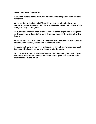**chilled it or leave fingerprints.**

**Garnishes should be cut fresh and leftovers stored separately in a covered container.**

**When cutting fruit, slice in half from tip to tip, then slit pulp down the middle, turn pulp side down and slice. This leaves a slit in the middle of the wedge to hang on the glass.**

**To cut twists, slice the ends of of a lemon. Cut slits lengthwise through the rind, but not quite down to the pulp. Then you can peel the twists off of the lemon.**

**When using a twist, rub the top of the glass with the rind side as it contains more oil, then actually twist it and place in the drink.**

**To easily salt rim or sugar frost a glass, pour a small amount in a bowl, rub the glass with lime or lemon and then dip into the bowl.**

**To layer a drink, pour the heaviest liqueur first, then using the back of your bar spoon, hold it so it touches the inside of the glass and pour the next heaviest liqueur and so on.**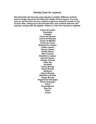**Density Chart for Liqueurs.**

**Not all brands will have the same density or weight. Different contents such as sugar and proof will effect the weight of each liqueur. You may have to use the trial and error method to get your products to float on top of each other. Always pour the heaviest first, and continue with the next heaviest, ending with the lightest. Below is a list from heaviest to lightest.**

> **Creme de Cassis Grenadine Anisette Creme de Banana Creme de Noyeaux Creme de Menthe Creme de Cacao Maraschino Liqueur Coffee Liqueur Cherry Liqueur Parfait Amour Blue Curacao Blackberry Liqueur Apricot Liqueur Orange Curacao Triple Sec Amaretto Cherry Brandy Peach Brandy Sambuca Apricot Brandy Blackberry Brandy Ginger Brandy Peppermint Schnapps Peach Schnapps B & B Grand Marnier Sloe Gin Kirsh Cream**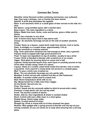## **Common Bar Terms**

**Absinthe: Anise flavored cordial containing wormwood, now outlawed. Age: How long a whiskey, rum or brandy has been stored.**

**Apéritif: A drink that stimulates the appetite.**

**Back: A non-alcoholic drink or a small glass of beer served on the side of a shot.**

**Bar Spoon: Long handled spoon with a twirled stem.**

**Base Liquor: The main ingredient in a drink.**

**Bitters: Made from bark, herbs, roots and berries, gives a bitter zest to drinks.**

**Blend: Use a blender to mix drink.**

**Call: A brand name liquor that is step above well.**

**Chaser: An alcoholic beverage served on the side of another alcoholic drink.**

**Cordial: Same as a liqueur, sweet drink made from berries, fruit or herbs. Dash: A smidgen or a couple drops, approximately 1/16 oz.**

**Dry: No vermouth or a teensy amount.**

**Flag: Term used when someone has had enough to drink, also a garnish. Flamed: Drink is topped with high proof alcohol & lit.**

**Float: To layer one ingredient on top of another, usually to top a drink Frozen: Drink is blended in blender with crushed ice or ice cream.**

**Jigger: Shot glass for pouring about an ounce and a half.**

**Layered: Using heaviest liquors first, each liquor is carefully poured on top of the other usually using a back of a spoon.**

**Liqueur: Same as a cordial, sweet drink made from berries, fruit or herbs. Long Drink: Term used for a mixed drink not served in a cocktail glass.**

**Mist: To pour a drink over crushed ice.**

**Mixer: The non-alcoholic beverage you mix spirits with.**

**Muddled: A drink served with mashed fruit like an Old Fashioned.**

**Muddler: A wooden mallet used to smash fruit.**

**Neat: Room temperature drink with no ice.**

**Nip: Measurement for a little more than a jigger.**

**On the Rocks: Served over ice.**

**Pony: One ounce.**

**Perfect: Sweet and dry vermouth added to drink & served with a twist.**

**Premium: A step above call, but not top shelf.**

**Proof: The alcohol content of spirits.**

**Shake: Add ice, then ingredients & shake in cocktail shaker**

**Short: A drink with just a little mixer in a short glass.**

**Simple Syrup: Heavy sugar water.**

**Splash: A small amount of mixer.**

**Straight Up: Drink is mixed with ice & then strained into glass**

**Strainer: Wire gadget with a spring around it that fits over the top of your mixing container so you can strain ice or pulp when pouring into a serving glass.**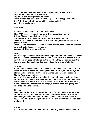**Stir: Ingredients are poured over ice & long spoon is used to stir.**

**Top: Ingredient is put on top of drink.**

**Top Shelf: The best spirits in the house.**

**Twist: Lemon peel used to flavor rim of glass, then dropped in drink.**

**Up: A drink served with no ice, either neat or chilled.**

**Well: Bar stock liquors.**

#### **Garnishes**

**Cocktail Onions: Skewer a couple for Gibsons.**

**Flag: 1/2 Slice of orange skewered with a maraschino cherry. Olives: Skewer a couple for martinis.**

**Swizzle Stick: Small straw or stick to stir drink when served.**

**Twist: Rind of lemon, run rind side down around glass & then twisted & placed in drink.**

**Twist of Lime or Lemon: 1/2 Slice of lemon or lime, also known as a wedge or wheel, but seldom ordered that way.**

**Wedge: 1/2 Slice of lemon or lime.**

#### **Mixing**

**When using a cocktail shaker there is one golden rule to remember. Always put the ice in the shaker first, and the liquor last. This is to ensure that all ingredients are properly chilled by the ice when they are poured over the ice, and by adding the liquor last you reduce the chance of dilution.**

#### **Stirring**

**A drink that is stirred instead of shaken will retain its clarity and be free of ice chips. Drinks based on clear liquors, like a Martini, should always be stirred and not shaken (don't listen to James Bond when he order his Martini "shaken, not stirred").**

**When stirring a cocktail you should stir it enough to mix the ingredients, but not stir it too much. If you stir too much the ice will begin to dilute the liquor. A general rule is that 10-15 stirs will be sufficient for proper mixing. A drink containing carbonated beverage(s) should be stirred gently and briefly to retain the sparkle.**

#### **Shaking**

**Instead of stirring, you can shake the drink. This will mix the ingredients more than stirring, but will also result in a less clear drink. Drinks that contain ingredients that are hard to mix, such as cream, fruit juices and eggs, should be shaken vigorously to ensure that the ingredients has been well mixed.**

#### **Blending**

**Use an electric blender to mix fresh fruit, liquor, juices and ice instead of**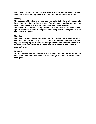**using a shaker. Not too popular everywhere, but perfect for making frozen cocktails or to blend ingredients that are otherwise impossible to mix.**

#### **Floating**

**The purpose of floating is to keep each ingredients in the drink in separate layers that do not mix with the others. This will create a drink with separate layers, and this is why floating often is referred to as layering. The easiest way to float one liquor on top of another is to use a demitasse**

**spoon, holding it over or in the glass and slowly trickle the ingredient over the back of the spoon.**

#### **Muddling**

**Muddling is a simple mashing technique for grinding herbs, such as mint, smooth in the bottom of a glass. You can use a wooden muddler that you buy in a bar supply store or buy a bar spoon with a muddler on the end. It crushes the herbs, much as the back of a soup spoon might, without scaring the glass.**

#### **Frosting**

**To frost a glass, first dip it in water and then put it in the freezer for half an hour or so. Also note that metal and silver mugs and cups will frost better than glasses.**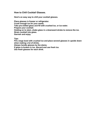### **How to Chill Cocktail Glasses.**

**Here's an easy way to chill your cocktail glasses.**

**Place glasses in freezer or refrigerator. Crush enough ice for your needs. Take pre-chilled glass and fill with crushed ice, or ice water. Prepare your cocktail. Holding on to stem, shake glass in a downward stroke to remove the ice. Strain cocktail into glass. Garnish and enjoy.**

**Tips:**

**Fill a large bowl with crushed ice and place several glasses in upside down when making a lot of drinks.**

**Always handle glasses by the stems.**

**If glass is broken in ice, discard and use fresh ice.**

**Use fresh glasses for each drink.**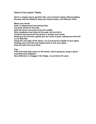**How to Cut Lemon Twists.**

**Here's a simple way to garnish with, and cut lemon twists without getting the pulp with the ability to keep your lemon twists, and leftovers fresh.**

**Wash your lemon.**

**Grab a cutting board and paring knife.**

**Cut ends off just to the pulp.** 

**Hold the lemon securely across the middle.**

**Slice lengthwise just down to the pulp, but not into it.** 

**Continue slicing around the lemon in quarter inch slices.**

**Starting at tip of lemon, gently pull up a slice of peal, making sure the fruit is not attached.**

**Using the rind edge of the lemon, run it around the outside of your glass. Holding each end with your fingers twist it over your glass.**

**Drop the twist into your drink.**

**Tips:**

**If the first twist gets stuck on the lemon, start it going by using a spoon (rounded parts together).** 

**Save leftovers in a baggy in the fridge, or use lemon for juice**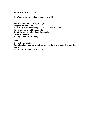**How to Flame a Drink.**

**Here's an easy way to flame and serve a drink.**

**Warm your glass before you begin. Prepare your cocktail. Pour a bit of your highest proof alcohol into a spoon. Ignite using a long kitchen match. Carefully pour flaming liquid into cocktail. Serve immediately. Extinguish before drinking.**

**Tips:**

**Use extreme caution. For a fabulous sparkle effect, carefully twist and orange rind over the flame.**

**Never drink while flame is still lit**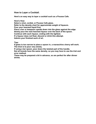### **How to Layer a Cocktail.**

**Here's an easy way to layer a cocktail such as a Pousse Cafe.**

**Here's How:**

**Select a shot, cordial, or Pousse Cafe glass.**

**Refer to the density chart for approximate weight of liqueurs.**

**Pour your heaviest liquid first.** 

**Place a bar or teaspoon upside down into the glass against the edge.**

**Slowly pour the next heaviest liqueur over the back of the spoon.**

**Continue with each liqueur, ending with the lightest.**

**If a liqueur does not float, discard or drink this attempt.** 

**Admire your finished work of art.** 

**Tips:**

**If glass is too narrow to place a spoon in, a maraschino cherry will work. The trick is to pour very slowly.**

**If using a bar spoon, pour down the twisted part of the handle.**

**Not all brands have the same density, so you may have to use the trial and error method.** 

**These may be prepared a bit in advance, so are perfect for after dinner drinks.**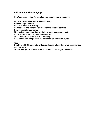## **A Recipe for Simple Syrup.**

**Here's an easy recipe for simple syrup used in many cocktails.**

**Put one cup of water in a small saucepan.**

**Add two cups of sugar.**

**Heat to a boil while stirring.**

**Reduce heat and continue to stir until the sugar dissolves.**

**Cool to room temperature.**

**Find a clean container that will hold at least a cup and a half.**

**Using a funnel, pour liquid into container.**

**Seal and store in refrigerator indefinitely.** 

**Use whenever a recipe calls for simple sugar or simple syrup.** 

**Tips:**

**Combine with Bitters and swirl around empty glass first when preparing an Old Fashioned.**

**To make larger quantities use the ratio of 2:1 for sugar and water.**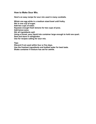### **How to Make Sour Mix.**

**Here's an easy recipe for sour mix used in many cocktails.**

**Whisk one egg white in a medium sized bowl until frothy. Stir in one cup of sugar. Add two cups of water. Squeeze enough fresh lemons for two cups of juice. Add lemon juice. Stir all ingredients well. Using a funnel, pour liquid into container large enough to hold one quart. Seal and store in refrigerator. Use for recipes calling for sour mix.**

**Tips:**

**Discard if not used within four or five days.**

**Use the freshest ingredients and bottled water for best taste.** 

**Shake container if mixture has set for awhile.**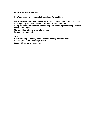**How to Muddle a Drink.**

**Here's an easy way to muddle ingredients for cocktails**

**Place ingredients into an old fashioned glass, small bowl or mixing glass. If using the glass, wrap a towel around it, in case it breaks. Using a wooden muddler or back of a spoon, crush ingredients against the sides and bottom. Mix so all ingredients are well married. Prepare your cocktail.**

**Tips:**

**A mortar and pestle may be used when making a lot of drinks. Always use the freshest ingredients. Wood will not scratch your glass.**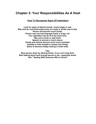# **Chapter 2- Your Responsibilities As A Host**

### **How To Recognize Signs Of Inebriation**

**Look for signs of altered moods, overly happy or sad. May look for next drink before they are ready or drinks way to fast. Person will become much louder. Person may use bad language freely or brag a lot. Two cigarettes may be lit at the same time. May miss mouth or spill drink. Speech is slurred or much slower. Hands and actions become much more animated. Inability to walk straight or bumps into things. Starts to become sleepy looking or bobs head.**

**Tips:**

**Slow person down by diluting drinks, if you can't stop them. Start talking about food and get person to eat - especially bread. See " Dealing With Someone Who Is Drunk"**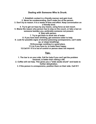## **Dealing with Someone Who Is Drunk.**

**1. Establish contact in a friendly manner and gain trust. 2. Never be condescending. Don't make fun of the person. 3. Don't try to reason. It is a waste of time and effort. Keep conversation on a friendly level. 4. Try to get car keys by any means, using force as last resort. 5. Blame the reason why person has to stay on the couch, or take a taxi on someone besides you, preferably someone not present. 6. Stay with person. 7. Try to get them to drink lots of water. 8. If you have been drinking, get someone sober to help. 9. Look for possible signs of alcohol poisoning (unresponsive, can't wake up, or stops breathing). 10.Encourage vomiting in a good place. 11.Lie if you have to, to make them happy. 12.Call 911 if it is out of control or person does not respond.**

## **Tips:**

**1. The law is on your side. Call for help if you can't get the problem resolved, is better than risking a life.**

**2. Coffee will not help. This gives you a "wide awake drunk" and leads to further dehydration.** 

**3. If the person is unresponsive, position them on their side. Call 911**